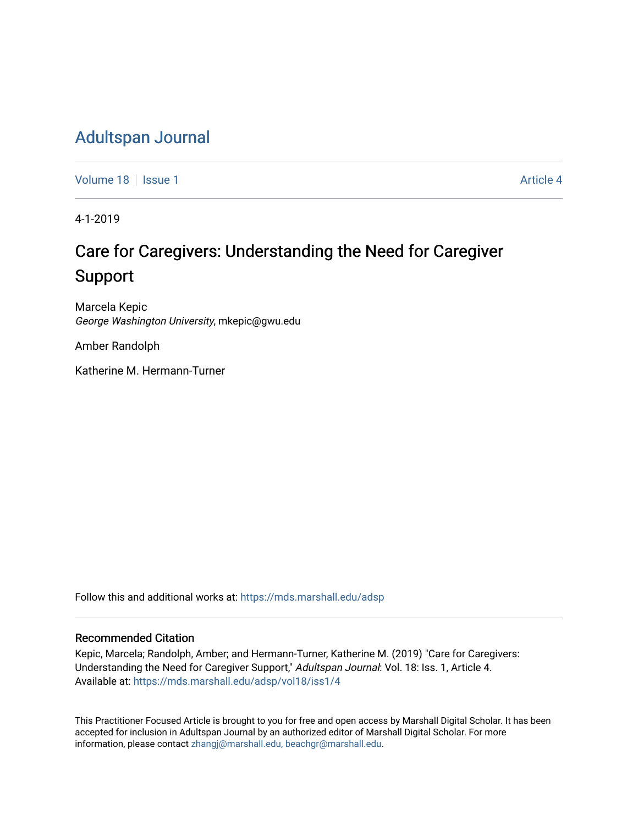## [Adultspan Journal](https://mds.marshall.edu/adsp)

[Volume 18](https://mds.marshall.edu/adsp/vol18) Setus 1 [Article 4](https://mds.marshall.edu/adsp/vol18/iss1/4) Article 4 Article 4 Article 4 Article 4 Article 4 Article 4

4-1-2019

## Care for Caregivers: Understanding the Need for Caregiver Support

Marcela Kepic George Washington University, mkepic@gwu.edu

Amber Randolph

Katherine M. Hermann-Turner

Follow this and additional works at: [https://mds.marshall.edu/adsp](https://mds.marshall.edu/adsp?utm_source=mds.marshall.edu%2Fadsp%2Fvol18%2Fiss1%2F4&utm_medium=PDF&utm_campaign=PDFCoverPages) 

#### Recommended Citation

Kepic, Marcela; Randolph, Amber; and Hermann-Turner, Katherine M. (2019) "Care for Caregivers: Understanding the Need for Caregiver Support," Adultspan Journal: Vol. 18: Iss. 1, Article 4. Available at: [https://mds.marshall.edu/adsp/vol18/iss1/4](https://mds.marshall.edu/adsp/vol18/iss1/4?utm_source=mds.marshall.edu%2Fadsp%2Fvol18%2Fiss1%2F4&utm_medium=PDF&utm_campaign=PDFCoverPages) 

This Practitioner Focused Article is brought to you for free and open access by Marshall Digital Scholar. It has been accepted for inclusion in Adultspan Journal by an authorized editor of Marshall Digital Scholar. For more information, please contact [zhangj@marshall.edu, beachgr@marshall.edu](mailto:zhangj@marshall.edu,%20beachgr@marshall.edu).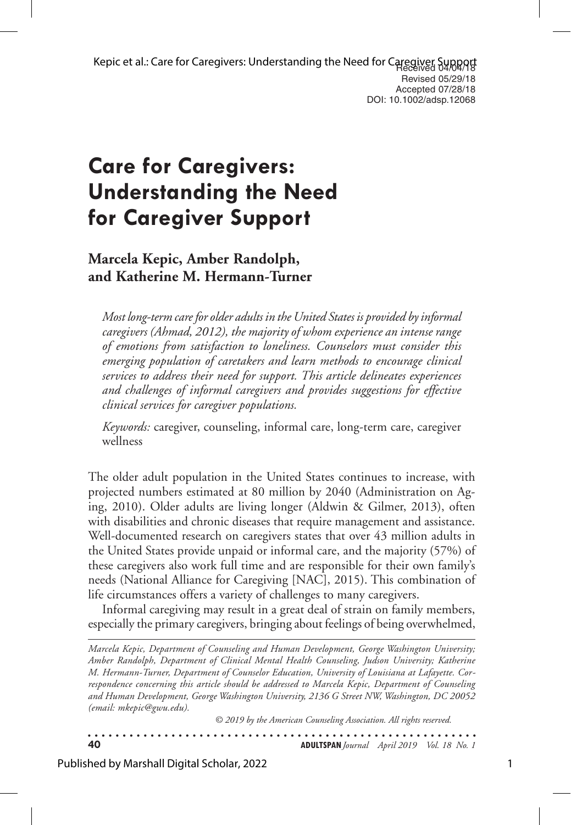## **Marcela Kepic, Amber Randolph, and Katherine M. Hermann-Turner**

*Most long-term care for older adults in the United States is provided by informal caregivers (Ahmad, 2012), the majority of whom experience an intense range of emotions from satisfaction to loneliness. Counselors must consider this emerging population of caretakers and learn methods to encourage clinical services to address their need for support. This article delineates experiences and challenges of informal caregivers and provides suggestions for effective clinical services for caregiver populations.*

*Keywords:* caregiver, counseling, informal care, long-term care, caregiver wellness

The older adult population in the United States continues to increase, with projected numbers estimated at 80 million by 2040 (Administration on Aging, 2010). Older adults are living longer (Aldwin & Gilmer, 2013), often with disabilities and chronic diseases that require management and assistance. Well-documented research on caregivers states that over 43 million adults in the United States provide unpaid or informal care, and the majority (57%) of these caregivers also work full time and are responsible for their own family's needs (National Alliance for Caregiving [NAC], 2015). This combination of life circumstances offers a variety of challenges to many caregivers.

Informal caregiving may result in a great deal of strain on family members, especially the primary caregivers, bringing about feelings of being overwhelmed,

*Marcela Kepic, Department of Counseling and Human Development, George Washington University; Amber Randolph, Department of Clinical Mental Health Counseling, Judson University; Katherine M. Hermann-Turner, Department of Counselor Education, University of Louisiana at Lafayette. Correspondence concerning this article should be addressed to Marcela Kepic, Department of Counseling and Human Development, George Washington University, 2136 G Street NW, Washington, DC 20052 (email: mkepic@gwu.edu).*

*© 2019 by the American Counseling Association. All rights reserved.*

 $\ddot{\phantom{a}}$ **40 ADULTSPAN***Journal April 2019 Vol. 18 No. 1*

Published by Marshall Digital Scholar, 2022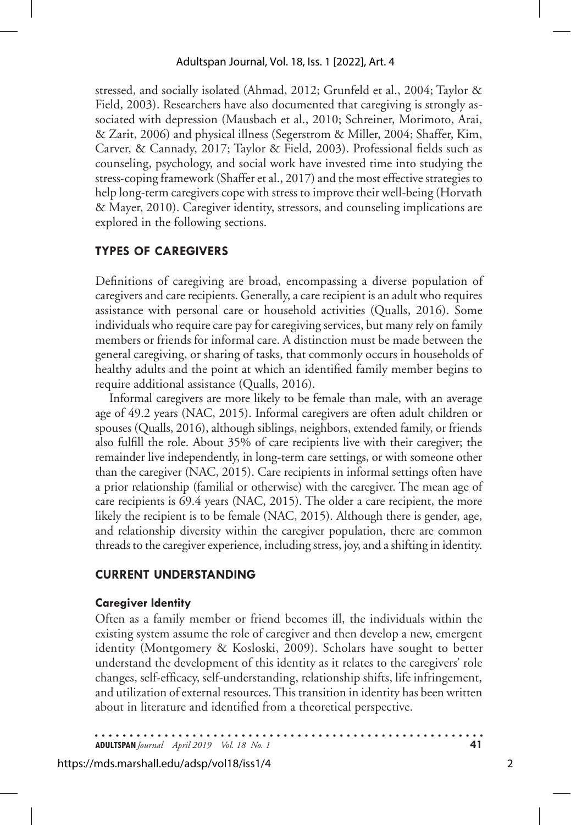stressed, and socially isolated (Ahmad, 2012; Grunfeld et al., 2004; Taylor & Field, 2003). Researchers have also documented that caregiving is strongly associated with depression (Mausbach et al., 2010; Schreiner, Morimoto, Arai, & Zarit, 2006) and physical illness (Segerstrom & Miller, 2004; Shaffer, Kim, Carver, & Cannady, 2017; Taylor & Field, 2003). Professional fields such as counseling, psychology, and social work have invested time into studying the stress-coping framework (Shaffer et al., 2017) and the most effective strategies to help long-term caregivers cope with stress to improve their well-being (Horvath & Mayer, 2010). Caregiver identity, stressors, and counseling implications are explored in the following sections.

## **TYPES OF CAREGIVERS**

Definitions of caregiving are broad, encompassing a diverse population of caregivers and care recipients. Generally, a care recipient is an adult who requires assistance with personal care or household activities (Qualls, 2016). Some individuals who require care pay for caregiving services, but many rely on family members or friends for informal care. A distinction must be made between the general caregiving, or sharing of tasks, that commonly occurs in households of healthy adults and the point at which an identified family member begins to require additional assistance (Qualls, 2016).

Informal caregivers are more likely to be female than male, with an average age of 49.2 years (NAC, 2015). Informal caregivers are often adult children or spouses (Qualls, 2016), although siblings, neighbors, extended family, or friends also fulfill the role. About 35% of care recipients live with their caregiver; the remainder live independently, in long-term care settings, or with someone other than the caregiver (NAC, 2015). Care recipients in informal settings often have a prior relationship (familial or otherwise) with the caregiver. The mean age of care recipients is 69.4 years (NAC, 2015). The older a care recipient, the more likely the recipient is to be female (NAC, 2015). Although there is gender, age, and relationship diversity within the caregiver population, there are common threads to the caregiver experience, including stress, joy, and a shifting in identity.

## **CURRENT UNDERSTANDING**

## **Caregiver Identity**

Often as a family member or friend becomes ill, the individuals within the existing system assume the role of caregiver and then develop a new, emergent identity (Montgomery & Kosloski, 2009). Scholars have sought to better understand the development of this identity as it relates to the caregivers' role changes, self-efficacy, self-understanding, relationship shifts, life infringement, and utilization of external resources. This transition in identity has been written about in literature and identified from a theoretical perspective.

**ADULTSPAN***Journal April 2019 Vol. 18 No. 1* **41**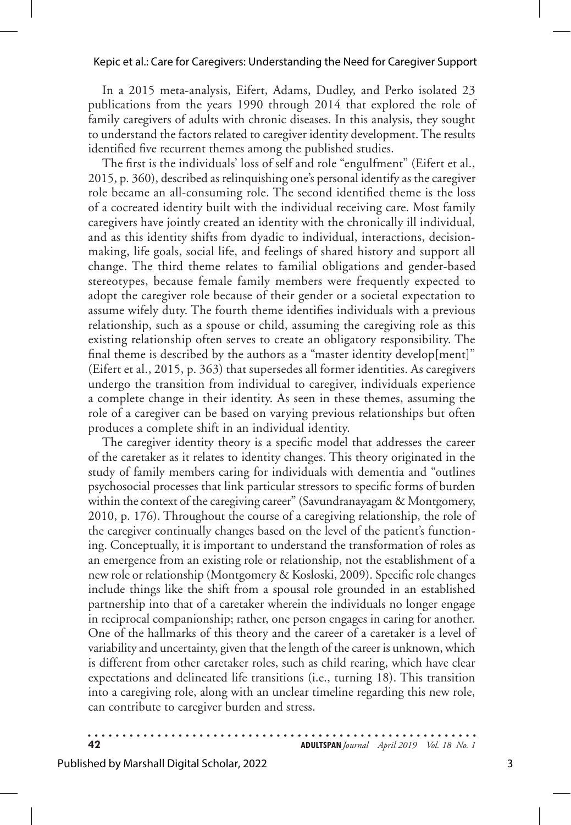In a 2015 meta-analysis, Eifert, Adams, Dudley, and Perko isolated 23 publications from the years 1990 through 2014 that explored the role of family caregivers of adults with chronic diseases. In this analysis, they sought to understand the factors related to caregiver identity development. The results identified five recurrent themes among the published studies.

The first is the individuals' loss of self and role "engulfment" (Eifert et al., 2015, p. 360), described as relinquishing one's personal identify as the caregiver role became an all-consuming role. The second identified theme is the loss of a cocreated identity built with the individual receiving care. Most family caregivers have jointly created an identity with the chronically ill individual, and as this identity shifts from dyadic to individual, interactions, decisionmaking, life goals, social life, and feelings of shared history and support all change. The third theme relates to familial obligations and gender-based stereotypes, because female family members were frequently expected to adopt the caregiver role because of their gender or a societal expectation to assume wifely duty. The fourth theme identifies individuals with a previous relationship, such as a spouse or child, assuming the caregiving role as this existing relationship often serves to create an obligatory responsibility. The final theme is described by the authors as a "master identity develop[ment]" (Eifert et al., 2015, p. 363) that supersedes all former identities. As caregivers undergo the transition from individual to caregiver, individuals experience a complete change in their identity. As seen in these themes, assuming the role of a caregiver can be based on varying previous relationships but often produces a complete shift in an individual identity.

The caregiver identity theory is a specific model that addresses the career of the caretaker as it relates to identity changes. This theory originated in the study of family members caring for individuals with dementia and "outlines psychosocial processes that link particular stressors to specific forms of burden within the context of the caregiving career" (Savundranayagam & Montgomery, 2010, p. 176). Throughout the course of a caregiving relationship, the role of the caregiver continually changes based on the level of the patient's functioning. Conceptually, it is important to understand the transformation of roles as an emergence from an existing role or relationship, not the establishment of a new role or relationship (Montgomery & Kosloski, 2009). Specific role changes include things like the shift from a spousal role grounded in an established partnership into that of a caretaker wherein the individuals no longer engage in reciprocal companionship; rather, one person engages in caring for another. One of the hallmarks of this theory and the career of a caretaker is a level of variability and uncertainty, given that the length of the career is unknown, which is different from other caretaker roles, such as child rearing, which have clear expectations and delineated life transitions (i.e., turning 18). This transition into a caregiving role, along with an unclear timeline regarding this new role, can contribute to caregiver burden and stress.

**42 ADULTSPAN***Journal April 2019 Vol. 18 No. 1*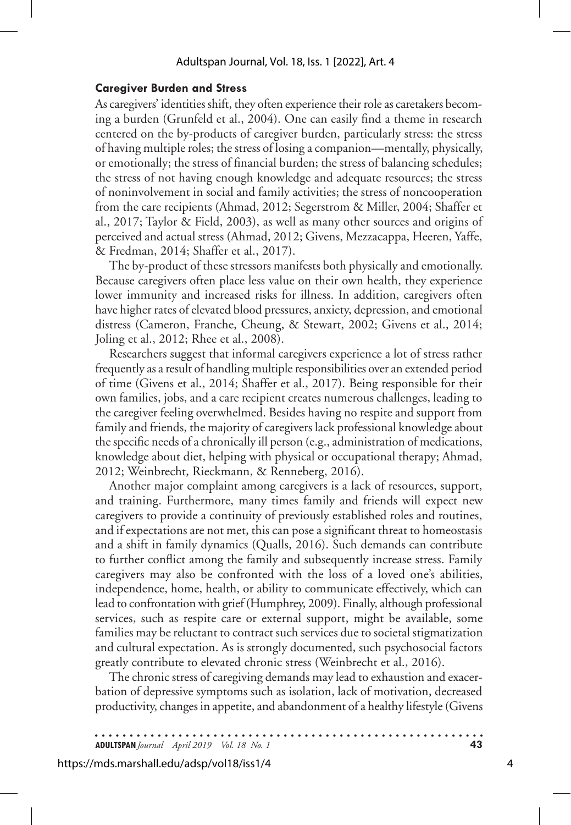#### **Caregiver Burden and Stress**

As caregivers' identities shift, they often experience their role as caretakers becoming a burden (Grunfeld et al., 2004). One can easily find a theme in research centered on the by-products of caregiver burden, particularly stress: the stress of having multiple roles; the stress of losing a companion—mentally, physically, or emotionally; the stress of financial burden; the stress of balancing schedules; the stress of not having enough knowledge and adequate resources; the stress of noninvolvement in social and family activities; the stress of noncooperation from the care recipients (Ahmad, 2012; Segerstrom & Miller, 2004; Shaffer et al., 2017; Taylor & Field, 2003), as well as many other sources and origins of perceived and actual stress (Ahmad, 2012; Givens, Mezzacappa, Heeren, Yaffe, & Fredman, 2014; Shaffer et al., 2017).

The by-product of these stressors manifests both physically and emotionally. Because caregivers often place less value on their own health, they experience lower immunity and increased risks for illness. In addition, caregivers often have higher rates of elevated blood pressures, anxiety, depression, and emotional distress (Cameron, Franche, Cheung, & Stewart, 2002; Givens et al., 2014; Joling et al., 2012; Rhee et al., 2008).

Researchers suggest that informal caregivers experience a lot of stress rather frequently as a result of handling multiple responsibilities over an extended period of time (Givens et al., 2014; Shaffer et al., 2017). Being responsible for their own families, jobs, and a care recipient creates numerous challenges, leading to the caregiver feeling overwhelmed. Besides having no respite and support from family and friends, the majority of caregivers lack professional knowledge about the specific needs of a chronically ill person (e.g., administration of medications, knowledge about diet, helping with physical or occupational therapy; Ahmad, 2012; Weinbrecht, Rieckmann, & Renneberg, 2016).

Another major complaint among caregivers is a lack of resources, support, and training. Furthermore, many times family and friends will expect new caregivers to provide a continuity of previously established roles and routines, and if expectations are not met, this can pose a significant threat to homeostasis and a shift in family dynamics (Qualls, 2016). Such demands can contribute to further conflict among the family and subsequently increase stress. Family caregivers may also be confronted with the loss of a loved one's abilities, independence, home, health, or ability to communicate effectively, which can lead to confrontation with grief (Humphrey, 2009). Finally, although professional services, such as respite care or external support, might be available, some families may be reluctant to contract such services due to societal stigmatization and cultural expectation. As is strongly documented, such psychosocial factors greatly contribute to elevated chronic stress (Weinbrecht et al., 2016).

The chronic stress of caregiving demands may lead to exhaustion and exacerbation of depressive symptoms such as isolation, lack of motivation, decreased productivity, changes in appetite, and abandonment of a healthy lifestyle (Givens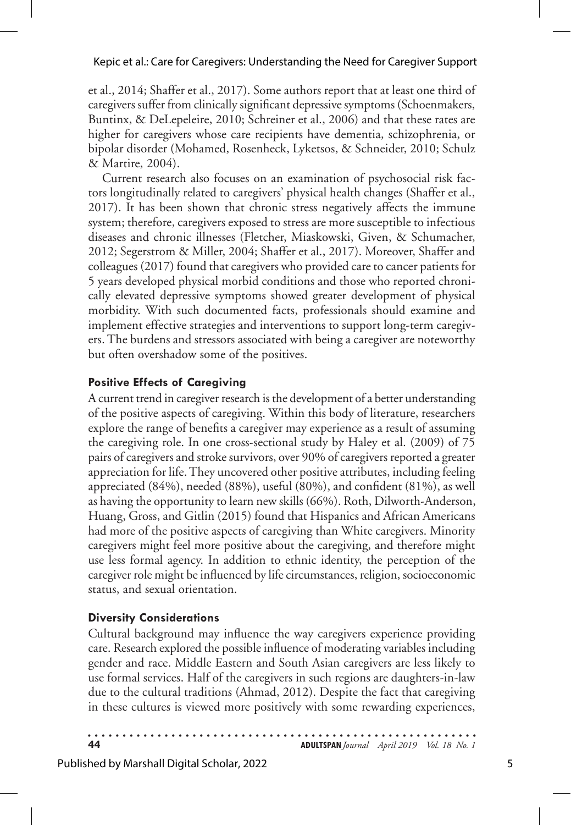et al., 2014; Shaffer et al., 2017). Some authors report that at least one third of caregivers suffer from clinically significant depressive symptoms (Schoenmakers, Buntinx, & DeLepeleire, 2010; Schreiner et al., 2006) and that these rates are higher for caregivers whose care recipients have dementia, schizophrenia, or bipolar disorder (Mohamed, Rosenheck, Lyketsos, & Schneider, 2010; Schulz & Martire, 2004).

Current research also focuses on an examination of psychosocial risk factors longitudinally related to caregivers' physical health changes (Shaffer et al., 2017). It has been shown that chronic stress negatively affects the immune system; therefore, caregivers exposed to stress are more susceptible to infectious diseases and chronic illnesses (Fletcher, Miaskowski, Given, & Schumacher, 2012; Segerstrom & Miller, 2004; Shaffer et al., 2017). Moreover, Shaffer and colleagues (2017) found that caregivers who provided care to cancer patients for 5 years developed physical morbid conditions and those who reported chronically elevated depressive symptoms showed greater development of physical morbidity. With such documented facts, professionals should examine and implement effective strategies and interventions to support long-term caregivers. The burdens and stressors associated with being a caregiver are noteworthy but often overshadow some of the positives.

## **Positive Effects of Caregiving**

A current trend in caregiver research is the development of a better understanding of the positive aspects of caregiving. Within this body of literature, researchers explore the range of benefits a caregiver may experience as a result of assuming the caregiving role. In one cross-sectional study by Haley et al. (2009) of 75 pairs of caregivers and stroke survivors, over 90% of caregivers reported a greater appreciation for life. They uncovered other positive attributes, including feeling appreciated (84%), needed (88%), useful (80%), and confident (81%), as well as having the opportunity to learn new skills (66%). Roth, Dilworth-Anderson, Huang, Gross, and Gitlin (2015) found that Hispanics and African Americans had more of the positive aspects of caregiving than White caregivers. Minority caregivers might feel more positive about the caregiving, and therefore might use less formal agency. In addition to ethnic identity, the perception of the caregiver role might be influenced by life circumstances, religion, socioeconomic status, and sexual orientation.

#### **Diversity Considerations**

Cultural background may influence the way caregivers experience providing care. Research explored the possible influence of moderating variables including gender and race. Middle Eastern and South Asian caregivers are less likely to use formal services. Half of the caregivers in such regions are daughters-in-law due to the cultural traditions (Ahmad, 2012). Despite the fact that caregiving in these cultures is viewed more positively with some rewarding experiences,

**44 ADULTSPAN***Journal April 2019 Vol. 18 No. 1*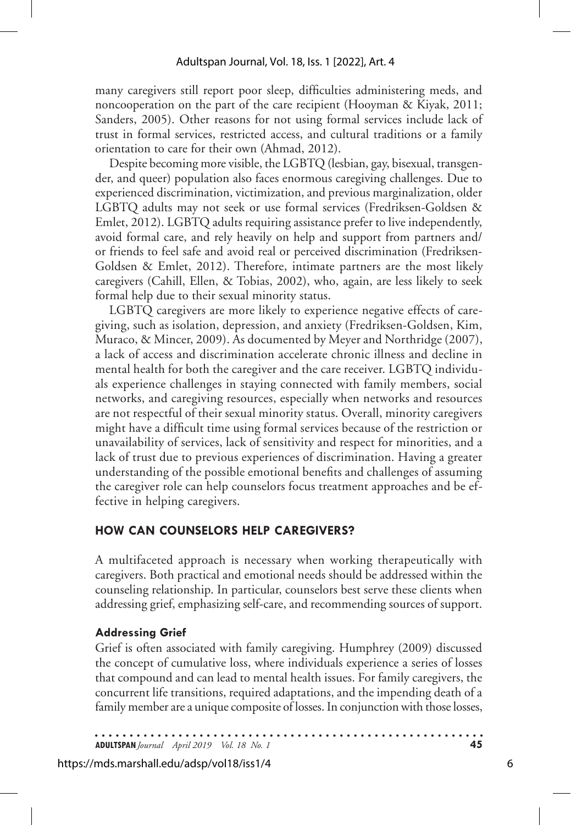many caregivers still report poor sleep, difficulties administering meds, and noncooperation on the part of the care recipient (Hooyman & Kiyak, 2011; Sanders, 2005). Other reasons for not using formal services include lack of trust in formal services, restricted access, and cultural traditions or a family orientation to care for their own (Ahmad, 2012).

Despite becoming more visible, the LGBTQ (lesbian, gay, bisexual, transgender, and queer) population also faces enormous caregiving challenges. Due to experienced discrimination, victimization, and previous marginalization, older LGBTQ adults may not seek or use formal services (Fredriksen-Goldsen & Emlet, 2012). LGBTQ adults requiring assistance prefer to live independently, avoid formal care, and rely heavily on help and support from partners and/ or friends to feel safe and avoid real or perceived discrimination (Fredriksen-Goldsen & Emlet, 2012). Therefore, intimate partners are the most likely caregivers (Cahill, Ellen, & Tobias, 2002), who, again, are less likely to seek formal help due to their sexual minority status.

LGBTQ caregivers are more likely to experience negative effects of caregiving, such as isolation, depression, and anxiety (Fredriksen-Goldsen, Kim, Muraco, & Mincer, 2009). As documented by Meyer and Northridge (2007), a lack of access and discrimination accelerate chronic illness and decline in mental health for both the caregiver and the care receiver. LGBTQ individuals experience challenges in staying connected with family members, social networks, and caregiving resources, especially when networks and resources are not respectful of their sexual minority status. Overall, minority caregivers might have a difficult time using formal services because of the restriction or unavailability of services, lack of sensitivity and respect for minorities, and a lack of trust due to previous experiences of discrimination. Having a greater understanding of the possible emotional benefits and challenges of assuming the caregiver role can help counselors focus treatment approaches and be effective in helping caregivers.

#### **HOW CAN COUNSELORS HELP CAREGIVERS?**

A multifaceted approach is necessary when working therapeutically with caregivers. Both practical and emotional needs should be addressed within the counseling relationship. In particular, counselors best serve these clients when addressing grief, emphasizing self-care, and recommending sources of support.

#### **Addressing Grief**

Grief is often associated with family caregiving. Humphrey (2009) discussed the concept of cumulative loss, where individuals experience a series of losses that compound and can lead to mental health issues. For family caregivers, the concurrent life transitions, required adaptations, and the impending death of a family member are a unique composite of losses. In conjunction with those losses,

**ADULTSPAN***Journal April 2019 Vol. 18 No. 1* **45**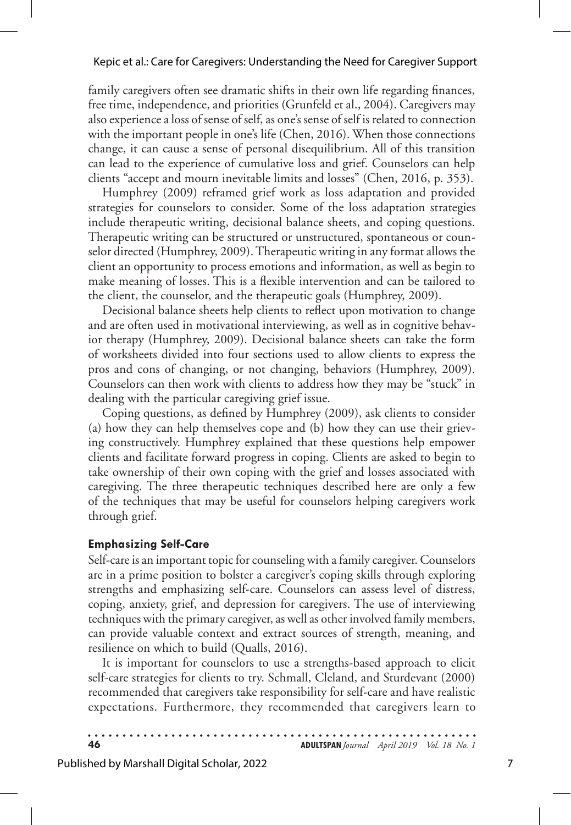family caregivers often see dramatic shifts in their own life regarding finances, free time, independence, and priorities (Grunfeld et al., 2004). Caregivers may also experience a loss of sense of self, as one's sense of self is related to connection with the important people in one's life (Chen, 2016). When those connections change, it can cause a sense of personal disequilibrium. All of this transition can lead to the experience of cumulative loss and grief. Counselors can help clients "accept and mourn inevitable limits and losses" (Chen, 2016, p. 353).

Humphrey (2009) reframed grief work as loss adaptation and provided strategies for counselors to consider. Some of the loss adaptation strategies include therapeutic writing, decisional balance sheets, and coping questions. Therapeutic writing can be structured or unstructured, spontaneous or counselor directed (Humphrey, 2009). Therapeutic writing in any format allows the client an opportunity to process emotions and information, as well as begin to make meaning of losses. This is a flexible intervention and can be tailored to the client, the counselor, and the therapeutic goals (Humphrey, 2009).

Decisional balance sheets help clients to reflect upon motivation to change and are often used in motivational interviewing, as well as in cognitive behavior therapy (Humphrey, 2009). Decisional balance sheets can take the form of worksheets divided into four sections used to allow clients to express the pros and cons of changing, or not changing, behaviors (Humphrey, 2009). Counselors can then work with clients to address how they may be "stuck" in dealing with the particular caregiving grief issue.

Coping questions, as defined by Humphrey (2009), ask clients to consider (a) how they can help themselves cope and (b) how they can use their grieving constructively. Humphrey explained that these questions help empower clients and facilitate forward progress in coping. Clients are asked to begin to take ownership of their own coping with the grief and losses associated with caregiving. The three therapeutic techniques described here are only a few of the techniques that may be useful for counselors helping caregivers work through grief.

#### **Emphasizing Self-Care**

Self-care is an important topic for counseling with a family caregiver. Counselors are in a prime position to bolster a caregiver's coping skills through exploring strengths and emphasizing self-care. Counselors can assess level of distress, coping, anxiety, grief, and depression for caregivers. The use of interviewing techniques with the primary caregiver, as well as other involved family members, can provide valuable context and extract sources of strength, meaning, and resilience on which to build (Qualls, 2016).

It is important for counselors to use a strengths-based approach to elicit self-care strategies for clients to try. Schmall, Cleland, and Sturdevant (2000) recommended that caregivers take responsibility for self-care and have realistic expectations. Furthermore, they recommended that caregivers learn to

**46 ADULTSPAN***Journal April 2019 Vol. 18 No. 1*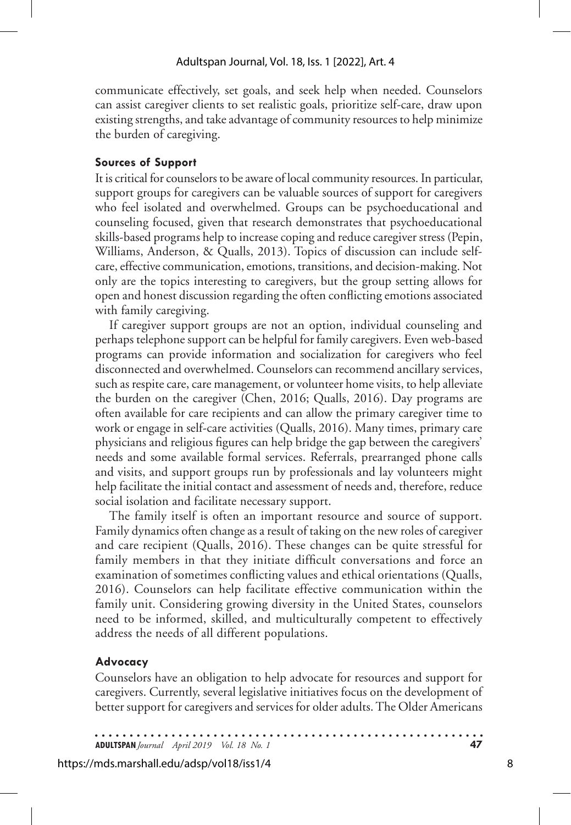communicate effectively, set goals, and seek help when needed. Counselors can assist caregiver clients to set realistic goals, prioritize self-care, draw upon existing strengths, and take advantage of community resources to help minimize the burden of caregiving.

#### **Sources of Support**

It is critical for counselors to be aware of local community resources. In particular, support groups for caregivers can be valuable sources of support for caregivers who feel isolated and overwhelmed. Groups can be psychoeducational and counseling focused, given that research demonstrates that psychoeducational skills-based programs help to increase coping and reduce caregiver stress (Pepin, Williams, Anderson, & Qualls, 2013). Topics of discussion can include selfcare, effective communication, emotions, transitions, and decision-making. Not only are the topics interesting to caregivers, but the group setting allows for open and honest discussion regarding the often conflicting emotions associated with family caregiving.

If caregiver support groups are not an option, individual counseling and perhaps telephone support can be helpful for family caregivers. Even web-based programs can provide information and socialization for caregivers who feel disconnected and overwhelmed. Counselors can recommend ancillary services, such as respite care, care management, or volunteer home visits, to help alleviate the burden on the caregiver (Chen, 2016; Qualls, 2016). Day programs are often available for care recipients and can allow the primary caregiver time to work or engage in self-care activities (Qualls, 2016). Many times, primary care physicians and religious figures can help bridge the gap between the caregivers' needs and some available formal services. Referrals, prearranged phone calls and visits, and support groups run by professionals and lay volunteers might help facilitate the initial contact and assessment of needs and, therefore, reduce social isolation and facilitate necessary support.

The family itself is often an important resource and source of support. Family dynamics often change as a result of taking on the new roles of caregiver and care recipient (Qualls, 2016). These changes can be quite stressful for family members in that they initiate difficult conversations and force an examination of sometimes conflicting values and ethical orientations (Qualls, 2016). Counselors can help facilitate effective communication within the family unit. Considering growing diversity in the United States, counselors need to be informed, skilled, and multiculturally competent to effectively address the needs of all different populations.

#### **Advocacy**

Counselors have an obligation to help advocate for resources and support for caregivers. Currently, several legislative initiatives focus on the development of better support for caregivers and services for older adults. The Older Americans

**ADULTSPAN***Journal April 2019 Vol. 18 No. 1* **47**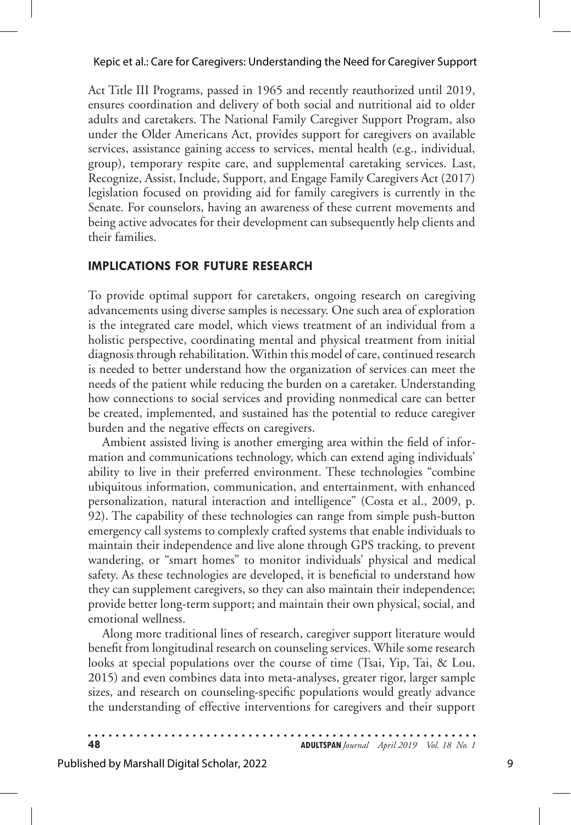Act Title III Programs, passed in 1965 and recently reauthorized until 2019, ensures coordination and delivery of both social and nutritional aid to older adults and caretakers. The National Family Caregiver Support Program, also under the Older Americans Act, provides support for caregivers on available services, assistance gaining access to services, mental health (e.g., individual, group), temporary respite care, and supplemental caretaking services. Last, Recognize, Assist, Include, Support, and Engage Family Caregivers Act (2017) legislation focused on providing aid for family caregivers is currently in the Senate. For counselors, having an awareness of these current movements and being active advocates for their development can subsequently help clients and their families.

#### **IMPLICATIONS FOR FUTURE RESEARCH**

To provide optimal support for caretakers, ongoing research on caregiving advancements using diverse samples is necessary. One such area of exploration is the integrated care model, which views treatment of an individual from a holistic perspective, coordinating mental and physical treatment from initial diagnosis through rehabilitation. Within this model of care, continued research is needed to better understand how the organization of services can meet the needs of the patient while reducing the burden on a caretaker. Understanding how connections to social services and providing nonmedical care can better be created, implemented, and sustained has the potential to reduce caregiver burden and the negative effects on caregivers.

Ambient assisted living is another emerging area within the field of information and communications technology, which can extend aging individuals' ability to live in their preferred environment. These technologies "combine ubiquitous information, communication, and entertainment, with enhanced personalization, natural interaction and intelligence" (Costa et al., 2009, p. 92). The capability of these technologies can range from simple push-button emergency call systems to complexly crafted systems that enable individuals to maintain their independence and live alone through GPS tracking, to prevent wandering, or "smart homes" to monitor individuals' physical and medical safety. As these technologies are developed, it is beneficial to understand how they can supplement caregivers, so they can also maintain their independence; provide better long-term support; and maintain their own physical, social, and emotional wellness.

Along more traditional lines of research, caregiver support literature would benefit from longitudinal research on counseling services. While some research looks at special populations over the course of time (Tsai, Yip, Tai, & Lou, 2015) and even combines data into meta-analyses, greater rigor, larger sample sizes, and research on counseling-specific populations would greatly advance the understanding of effective interventions for caregivers and their support

| 48 | <b>ADULTSPAN</b> Journal April 2019 Vol. 18 No. 1 |  |
|----|---------------------------------------------------|--|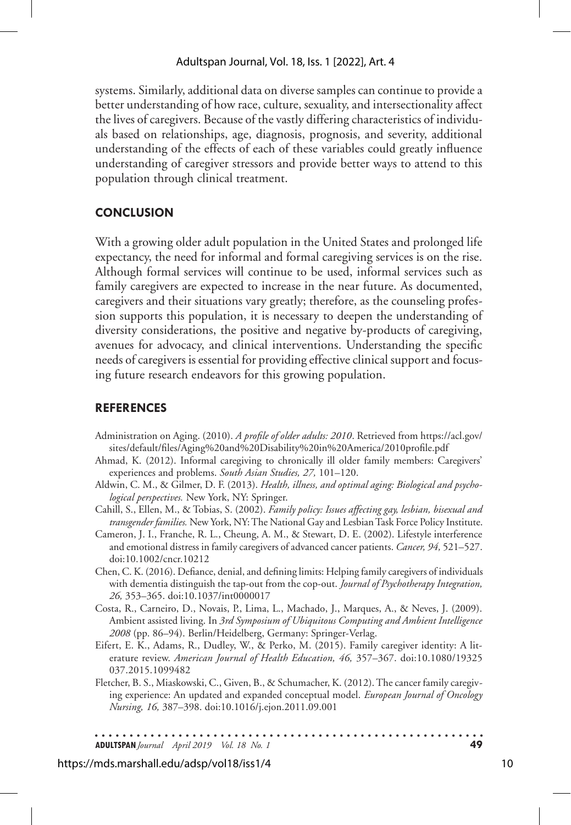systems. Similarly, additional data on diverse samples can continue to provide a better understanding of how race, culture, sexuality, and intersectionality affect the lives of caregivers. Because of the vastly differing characteristics of individuals based on relationships, age, diagnosis, prognosis, and severity, additional understanding of the effects of each of these variables could greatly influence understanding of caregiver stressors and provide better ways to attend to this population through clinical treatment.

## **CONCLUSION**

With a growing older adult population in the United States and prolonged life expectancy, the need for informal and formal caregiving services is on the rise. Although formal services will continue to be used, informal services such as family caregivers are expected to increase in the near future. As documented, caregivers and their situations vary greatly; therefore, as the counseling profession supports this population, it is necessary to deepen the understanding of diversity considerations, the positive and negative by-products of caregiving, avenues for advocacy, and clinical interventions. Understanding the specific needs of caregivers is essential for providing effective clinical support and focusing future research endeavors for this growing population.

## **REFERENCES**

- Administration on Aging. (2010). *A profile of older adults: 2010*. Retrieved from https://acl.gov/ sites/default/files/Aging%20and%20Disability%20in%20America/2010profile.pdf
- Ahmad, K. (2012). Informal caregiving to chronically ill older family members: Caregivers' experiences and problems. *South Asian Studies, 27,* 101–120.
- Aldwin, C. M., & Gilmer, D. F. (2013). *Health, illness, and optimal aging: Biological and psychological perspectives.* New York, NY: Springer.
- Cahill, S., Ellen, M., & Tobias, S. (2002). *Family policy: Issues affecting gay, lesbian, bisexual and transgender families.* New York, NY: The National Gay and Lesbian Task Force Policy Institute.
- Cameron, J. I., Franche, R. L., Cheung, A. M., & Stewart, D. E. (2002). Lifestyle interference and emotional distress in family caregivers of advanced cancer patients. *Cancer, 94,* 521–527. doi:10.1002/cncr.10212
- Chen, C. K. (2016). Defiance, denial, and defining limits: Helping family caregivers of individuals with dementia distinguish the tap-out from the cop-out. *Journal of Psychotherapy Integration, 26,* 353–365. doi:10.1037/int0000017
- Costa, R., Carneiro, D., Novais, P., Lima, L., Machado, J., Marques, A., & Neves, J. (2009). Ambient assisted living. In *3rd Symposium of Ubiquitous Computing and Ambient Intelligence 2008* (pp. 86–94). Berlin/Heidelberg, Germany: Springer-Verlag.
- Eifert, E. K., Adams, R., Dudley, W., & Perko, M. (2015). Family caregiver identity: A literature review. *American Journal of Health Education, 46,* 357–367. doi:10.1080/19325 037.2015.1099482
- Fletcher, B. S., Miaskowski, C., Given, B., & Schumacher, K. (2012). The cancer family caregiving experience: An updated and expanded conceptual model. *European Journal of Oncology Nursing, 16,* 387–398. doi:10.1016/j.ejon.2011.09.001

. . . . . . . . . . . **ADULTSPAN***Journal April 2019 Vol. 18 No. 1* **49**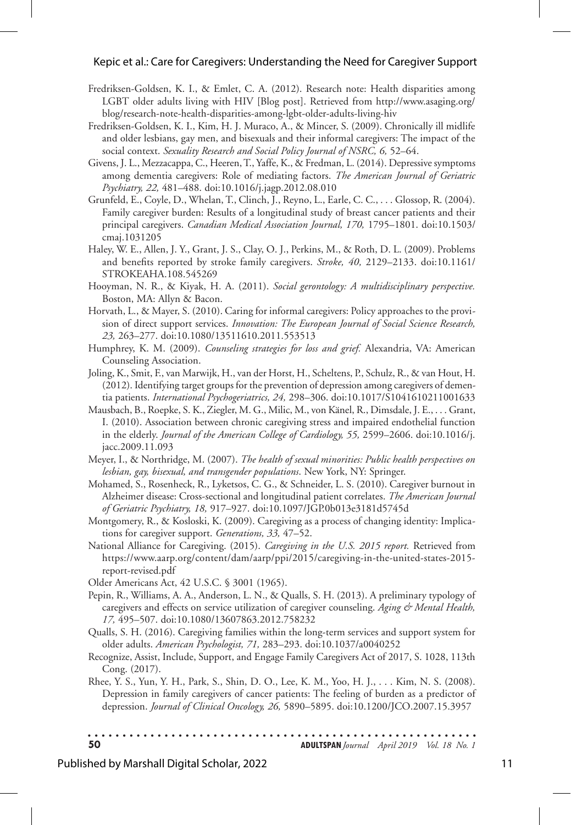- Fredriksen-Goldsen, K. I., & Emlet, C. A. (2012). Research note: Health disparities among LGBT older adults living with HIV [Blog post]. Retrieved from http://www.asaging.org/ blog/research-note-health-disparities-among-lgbt-older-adults-living-hiv
- Fredriksen-Goldsen, K. I., Kim, H. J. Muraco, A., & Mincer, S. (2009). Chronically ill midlife and older lesbians, gay men, and bisexuals and their informal caregivers: The impact of the social context. *Sexuality Research and Social Policy Journal of NSRC, 6,* 52–64.
- Givens, J. L., Mezzacappa, C., Heeren, T., Yaffe, K., & Fredman, L. (2014). Depressive symptoms among dementia caregivers: Role of mediating factors. *The American Journal of Geriatric Psychiatry, 22,* 481–488. doi:10.1016/j.jagp.2012.08.010
- Grunfeld, E., Coyle, D., Whelan, T., Clinch, J., Reyno, L., Earle, C. C., . . . Glossop, R. (2004). Family caregiver burden: Results of a longitudinal study of breast cancer patients and their principal caregivers. *Canadian Medical Association Journal, 170,* 1795–1801. doi:10.1503/ cmaj.1031205
- Haley, W. E., Allen, J. Y., Grant, J. S., Clay, O. J., Perkins, M., & Roth, D. L. (2009). Problems and benefits reported by stroke family caregivers. *Stroke, 40,* 2129–2133. doi:10.1161/ STROKEAHA.108.545269
- Hooyman, N. R., & Kiyak, H. A. (2011). *Social gerontology: A multidisciplinary perspective.* Boston, MA: Allyn & Bacon.
- Horvath, L., & Mayer, S. (2010). Caring for informal caregivers: Policy approaches to the provision of direct support services. *Innovation: The European Journal of Social Science Research, 23,* 263–277. doi:10.1080/13511610.2011.553513
- Humphrey, K. M. (2009). *Counseling strategies for loss and grief.* Alexandria, VA: American Counseling Association.
- Joling, K., Smit, F., van Marwijk, H., van der Horst, H., Scheltens, P., Schulz, R., & van Hout, H. (2012). Identifying target groups for the prevention of depression among caregivers of dementia patients. *International Psychogeriatrics, 24,* 298–306. doi:10.1017/S1041610211001633
- Mausbach, B., Roepke, S. K., Ziegler, M. G., Milic, M., von Känel, R., Dimsdale, J. E., . . . Grant, I. (2010). Association between chronic caregiving stress and impaired endothelial function in the elderly. *Journal of the American College of Cardiology, 55,* 2599–2606. doi:10.1016/j. jacc.2009.11.093
- Meyer, I., & Northridge, M. (2007). *The health of sexual minorities: Public health perspectives on lesbian, gay, bisexual, and transgender populations*. New York, NY: Springer.
- Mohamed, S., Rosenheck, R., Lyketsos, C. G., & Schneider, L. S. (2010). Caregiver burnout in Alzheimer disease: Cross-sectional and longitudinal patient correlates. *The American Journal of Geriatric Psychiatry, 18,* 917–927. doi:10.1097/JGP.0b013e3181d5745d
- Montgomery, R., & Kosloski, K. (2009). Caregiving as a process of changing identity: Implications for caregiver support. *Generations, 33,* 47–52.
- National Alliance for Caregiving. (2015). *Caregiving in the U.S. 2015 report.* Retrieved from https://www.aarp.org/content/dam/aarp/ppi/2015/caregiving-in-the-united-states-2015 report-revised.pdf

Older Americans Act, 42 U.S.C. § 3001 (1965).

- Pepin, R., Williams, A. A., Anderson, L. N., & Qualls, S. H. (2013). A preliminary typology of caregivers and effects on service utilization of caregiver counseling. Aging & Mental Health, *17,* 495–507. doi:10.1080/13607863.2012.758232
- Qualls, S. H. (2016). Caregiving families within the long-term services and support system for older adults. *American Psychologist, 71,* 283–293. doi:10.1037/a0040252
- Recognize, Assist, Include, Support, and Engage Family Caregivers Act of 2017, S. 1028, 113th Cong. (2017).
- Rhee, Y. S., Yun, Y. H., Park, S., Shin, D. O., Lee, K. M., Yoo, H. J., . . . Kim, N. S. (2008). Depression in family caregivers of cancer patients: The feeling of burden as a predictor of depression. *Journal of Clinical Oncology, 26,* 5890–5895. doi:10.1200/JCO.2007.15.3957

. . . . . . . . . **50 ADULTSPAN***Journal April 2019 Vol. 18 No. 1*